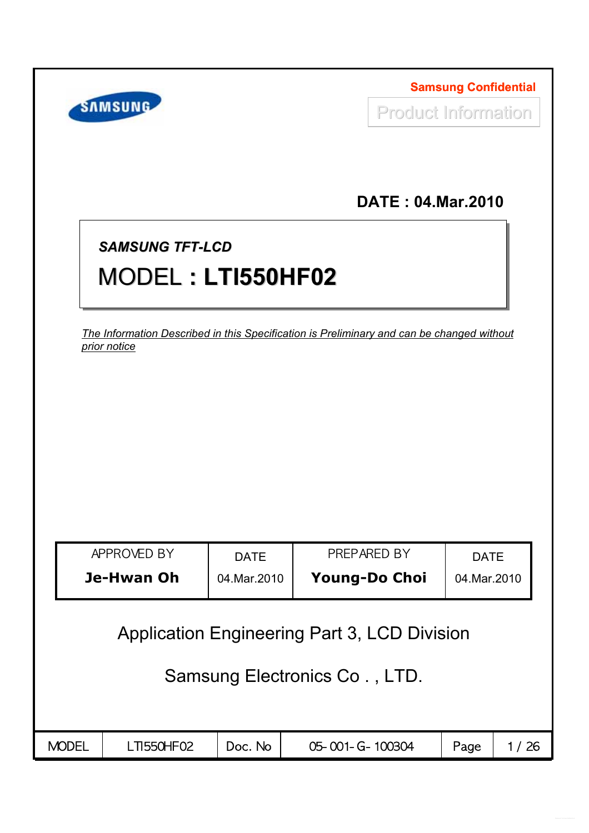|              | <b>SAMSUNG</b>                                                                                            |                              | <b>Samsung Confidential</b><br><b>Product Information</b> |                          |                              |      |  |
|--------------|-----------------------------------------------------------------------------------------------------------|------------------------------|-----------------------------------------------------------|--------------------------|------------------------------|------|--|
|              |                                                                                                           |                              |                                                           | <b>DATE: 04.Mar.2010</b> |                              |      |  |
|              | <b>SAMSUNG TFT-LCD</b><br>MODEL: LTI550HF02                                                               |                              |                                                           |                          |                              |      |  |
|              | The Information Described in this Specification is Preliminary and can be changed without<br>prior notice |                              |                                                           |                          |                              |      |  |
|              |                                                                                                           |                              |                                                           |                          |                              |      |  |
|              |                                                                                                           |                              |                                                           |                          |                              |      |  |
|              |                                                                                                           |                              |                                                           |                          |                              |      |  |
|              | APPROVED BY<br>Je-Hwan Oh                                                                                 | <b>DATE</b><br>04. Mar. 2010 | PREPARED BY<br>Young-Do Choi                              |                          | <b>DATE</b><br>04. Mar. 2010 |      |  |
|              | <b>Application Engineering Part 3, LCD Division</b>                                                       |                              |                                                           |                          |                              |      |  |
|              |                                                                                                           |                              | Samsung Electronics Co., LTD.                             |                          |                              |      |  |
|              |                                                                                                           |                              |                                                           |                          |                              |      |  |
| <b>MODEL</b> | LTI550HF02                                                                                                | Doc. No                      | 05-001-G-100304                                           |                          | Page                         | 1/26 |  |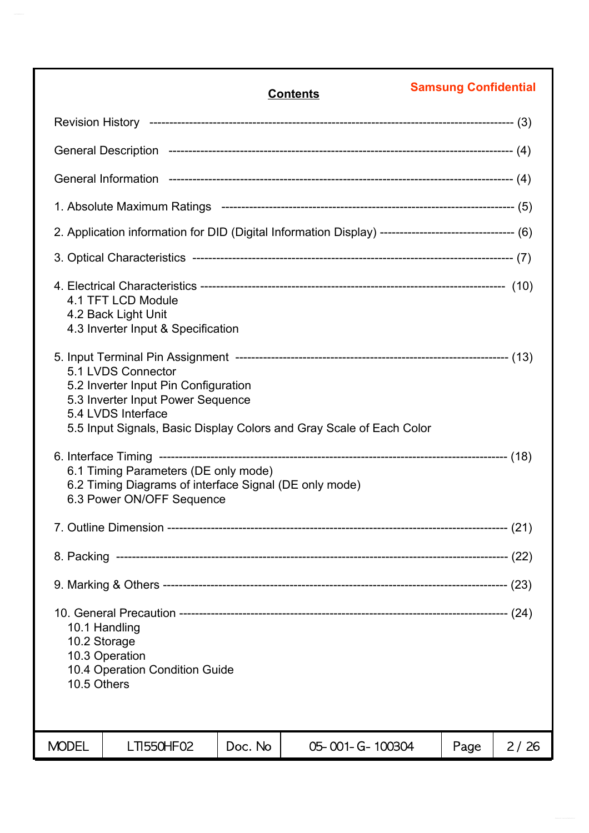|                                                                                                  |                                                                                                                                                                                               |         | <b>Contents</b>                                                                                        | <b>Samsung Confidential</b> |      |  |  |
|--------------------------------------------------------------------------------------------------|-----------------------------------------------------------------------------------------------------------------------------------------------------------------------------------------------|---------|--------------------------------------------------------------------------------------------------------|-----------------------------|------|--|--|
|                                                                                                  |                                                                                                                                                                                               |         |                                                                                                        |                             |      |  |  |
|                                                                                                  |                                                                                                                                                                                               |         |                                                                                                        |                             |      |  |  |
|                                                                                                  |                                                                                                                                                                                               |         |                                                                                                        |                             |      |  |  |
|                                                                                                  |                                                                                                                                                                                               |         |                                                                                                        |                             |      |  |  |
|                                                                                                  |                                                                                                                                                                                               |         | 2. Application information for DID (Digital Information Display) --------------------------------- (6) |                             |      |  |  |
|                                                                                                  |                                                                                                                                                                                               |         |                                                                                                        |                             |      |  |  |
|                                                                                                  | 4.1 TFT LCD Module<br>4.2 Back Light Unit<br>4.3 Inverter Input & Specification                                                                                                               |         |                                                                                                        |                             |      |  |  |
|                                                                                                  | 5.1 LVDS Connector<br>5.2 Inverter Input Pin Configuration<br>5.3 Inverter Input Power Sequence<br>5.4 LVDS Interface<br>5.5 Input Signals, Basic Display Colors and Gray Scale of Each Color |         |                                                                                                        |                             |      |  |  |
|                                                                                                  | 6.1 Timing Parameters (DE only mode)<br>6.2 Timing Diagrams of interface Signal (DE only mode)<br>6.3 Power ON/OFF Sequence                                                                   |         |                                                                                                        |                             |      |  |  |
|                                                                                                  |                                                                                                                                                                                               |         |                                                                                                        |                             |      |  |  |
|                                                                                                  |                                                                                                                                                                                               |         |                                                                                                        |                             |      |  |  |
|                                                                                                  |                                                                                                                                                                                               |         |                                                                                                        |                             |      |  |  |
| 10.1 Handling<br>10.2 Storage<br>10.3 Operation<br>10.4 Operation Condition Guide<br>10.5 Others |                                                                                                                                                                                               |         |                                                                                                        |                             |      |  |  |
| <b>MODEL</b>                                                                                     | LTI550HF02                                                                                                                                                                                    | Doc. No | 05-001-G-100304                                                                                        | Page                        | 2/26 |  |  |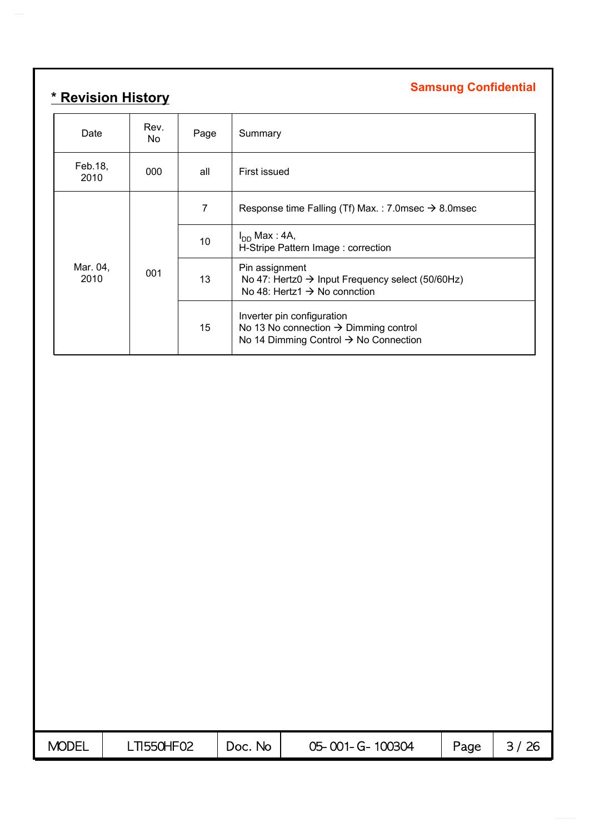# **Samsung Confidential \* Revision History**

| Date             | Rev.<br>No. | Page           | Summary                                                                                                                              |
|------------------|-------------|----------------|--------------------------------------------------------------------------------------------------------------------------------------|
| Feb.18,<br>2010  | 000         | all            | First issued                                                                                                                         |
|                  |             | $\overline{7}$ | Response time Falling (Tf) Max.: 7.0msec $\rightarrow$ 8.0msec                                                                       |
|                  |             | 10             | $I_{DD}$ Max : 4A,<br>H-Stripe Pattern Image: correction                                                                             |
| Mar. 04,<br>2010 | 001         | 13             | Pin assignment<br>No 47: Hertz0 $\rightarrow$ Input Frequency select (50/60Hz)<br>No 48: Hertz1 $\rightarrow$ No connction           |
|                  |             | 15             | Inverter pin configuration<br>No 13 No connection $\rightarrow$ Dimming control<br>No 14 Dimming Control $\rightarrow$ No Connection |

| <b>MODEL</b> | <b>TI550HF02</b> | No.<br>DOC. | 05-001-G-100304 | Page |  |
|--------------|------------------|-------------|-----------------|------|--|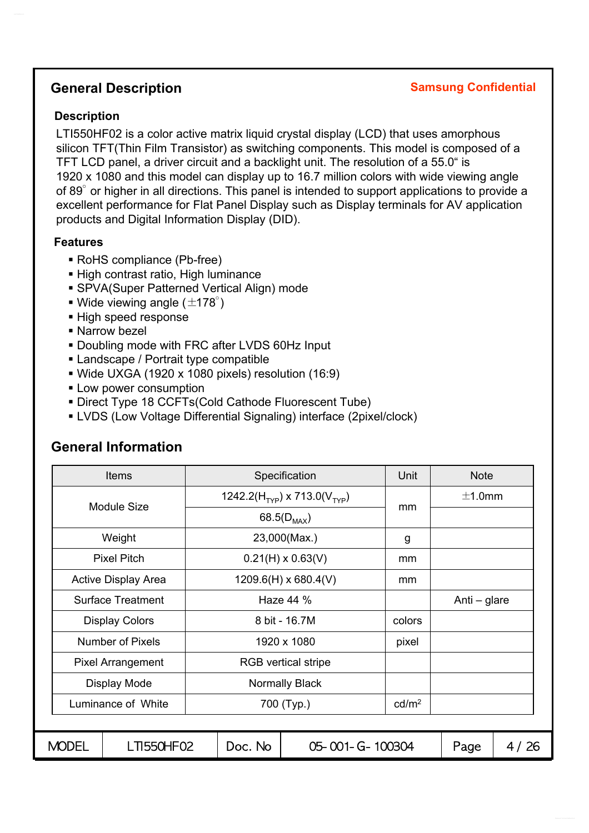### **General Description**

#### **Samsung Confidential**

#### **Description**

LTI550HF02 is a color active matrix liquid crystal display (LCD) that uses amorphous silicon TFT(Thin Film Transistor) as switching components. This model is composed of a TFT LCD panel, a driver circuit and a backlight unit. The resolution of a 55.0" is 1920 x 1080 and this model can display up to 16.7 million colors with wide viewing angle of 89° or higher in all directions. This panel is intended to support applications to provide a excellent performance for Flat Panel Display such as Display terminals for AV application products and Digital Information Display (DID).

#### **Features**

- RoHS compliance (Pb-free)
- High contrast ratio, High luminance
- SPVA(Super Patterned Vertical Align) mode
- Wide viewing angle  $(\pm 178^\circ)$
- High speed response
- Narrow bezel
- Doubling mode with FRC after LVDS 60Hz Input
- Landscape / Portrait type compatible
- Wide UXGA (1920 x 1080 pixels) resolution (16:9)
- **Low power consumption**
- Direct Type 18 CCFTs(Cold Cathode Fluorescent Tube)
- LVDS (Low Voltage Differential Signaling) interface (2pixel/clock)

#### **General Information**

|                                  | <b>Items</b>               |                   |         | Specification                                        | Unit   | <b>Note</b>  |        |
|----------------------------------|----------------------------|-------------------|---------|------------------------------------------------------|--------|--------------|--------|
|                                  | Module Size                |                   |         | 1242.2(H <sub>TYP</sub> ) x 713.0(V <sub>TYP</sub> ) | mm     | $\pm$ 1.0mm  |        |
|                                  |                            |                   |         | 68.5( $D_{MAX}$ )                                    |        |              |        |
|                                  | Weight                     |                   |         | 23,000(Max.)                                         | g      |              |        |
|                                  | <b>Pixel Pitch</b>         |                   |         | $0.21(H) \times 0.63(V)$                             | mm     |              |        |
|                                  | <b>Active Display Area</b> |                   |         | $1209.6(H) \times 680.4(V)$                          | mm     |              |        |
|                                  | <b>Surface Treatment</b>   | Haze 44 %         |         |                                                      |        | Anti – glare |        |
|                                  | <b>Display Colors</b>      |                   |         | 8 bit - 16.7M                                        | colors |              |        |
|                                  | Number of Pixels           |                   |         | 1920 x 1080                                          | pixel  |              |        |
|                                  | <b>Pixel Arrangement</b>   |                   |         | <b>RGB</b> vertical stripe                           |        |              |        |
|                                  | Display Mode               |                   |         | <b>Normally Black</b>                                |        |              |        |
| Luminance of White<br>700 (Typ.) |                            | cd/m <sup>2</sup> |         |                                                      |        |              |        |
|                                  |                            |                   |         |                                                      |        |              |        |
| <b>MODEL</b>                     | <b>LTI550HF02</b>          |                   | Doc. No | 05-001-G-100304                                      |        | Page         | 4 / 26 |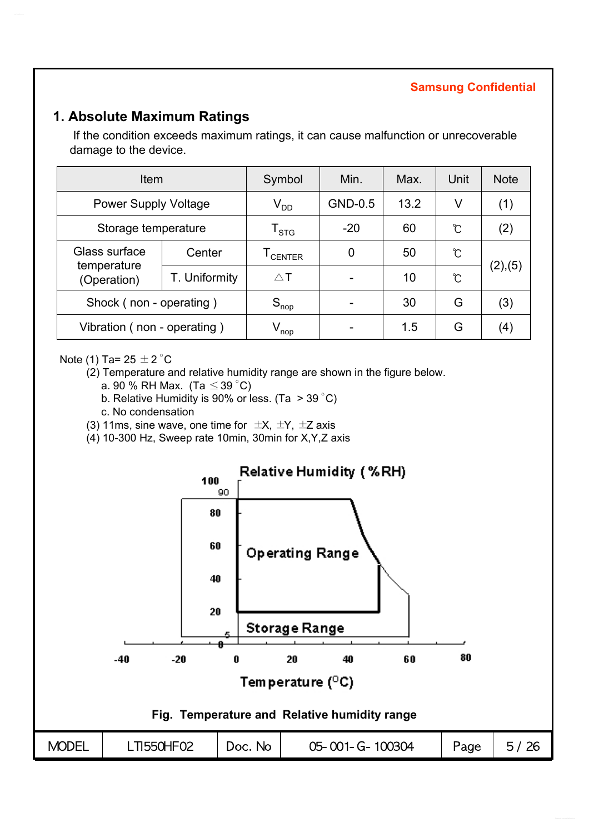### **1. Absolute Maximum Ratings**

If the condition exceeds maximum ratings, it can cause malfunction or unrecoverable damage to the device.

| <b>Item</b>                 | Symbol           | Min.                      | Max.           | Unit | <b>Note</b> |                   |
|-----------------------------|------------------|---------------------------|----------------|------|-------------|-------------------|
| <b>Power Supply Voltage</b> |                  | $\rm V_{DD}$              | <b>GND-0.5</b> | 13.2 | V           | (1)               |
| Storage temperature         |                  | $\mathsf{T}_{\text{STG}}$ | $-20$          | 60   | C           | (2)               |
| Glass surface               | Center           |                           | $\overline{0}$ | 50   | ℃           |                   |
| temperature<br>(Operation)  | T. Uniformity    | $\triangle$ T             |                | 10   | Ĉ           | (2),(5)           |
| Shock (non - operating)     | $S_{\text{nop}}$ |                           | 30             | G    | (3)         |                   |
| Vibration (non - operating) |                  | $V_{\mathsf{nop}}$        |                | 1.5  | G           | $\left( 4\right)$ |

#### Note (1) Ta=  $25 \pm 2$  °C

(2) Temperature and relative humidity range are shown in the figure below.

- a. 90 % RH Max. (Ta  $\leq$  39 °C)
- b. Relative Humidity is 90% or less. (Ta > 39 °C)
- c. No condensation
- (3) 11ms, sine wave, one time for  $\pm X$ ,  $\pm Y$ ,  $\pm Z$  axis
- (4) 10-300 Hz, Sweep rate 10min, 30min for X,Y,Z axis

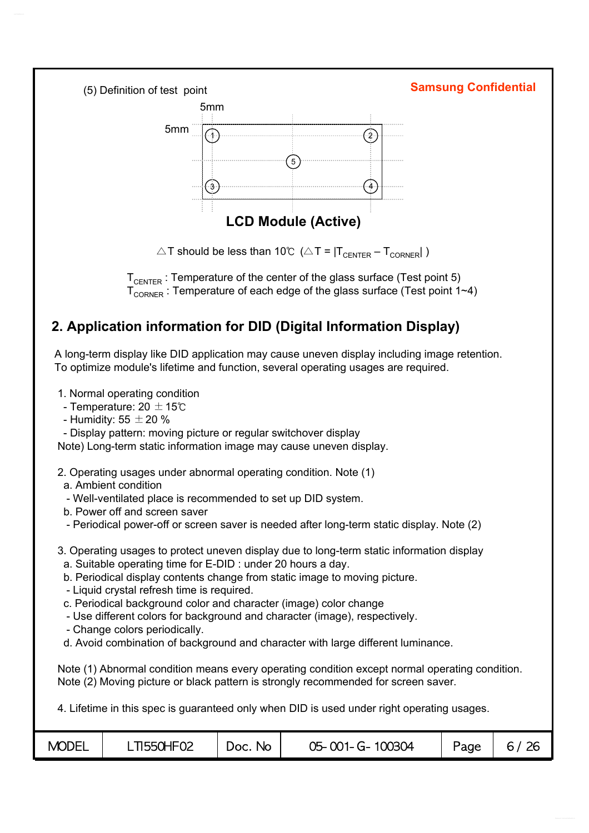

 $\triangle T$  should be less than 10℃ ( $\triangle T = |T_{\text{CENTER}} - T_{\text{CORNER}}|$ )

 $T_{\text{CHTFR}}$ : Temperature of the center of the glass surface (Test point 5)  $T_{\text{CDNEP}}$ : Temperature of each edge of the glass surface (Test point 1~4)

# **2. Application information for DID (Digital Information Display)**

A long-term display like DID application may cause uneven display including image retention. To optimize module's lifetime and function, several operating usages are required.

1. Normal operating condition

- Temperature: 20  $\pm$  15℃
- Humidity: 55  $\pm$  20 %
- Display pattern: moving picture or regular switchover display

Note) Long-term static information image may cause uneven display.

- 2. Operating usages under abnormal operating condition. Note (1)
- a. Ambient condition
- Well-ventilated place is recommended to set up DID system.
- b. Power off and screen saver
- Periodical power-off or screen saver is needed after long-term static display. Note (2)
- 3. Operating usages to protect uneven display due to long-term static information display
	- a. Suitable operating time for E-DID : under 20 hours a day.
	- b. Periodical display contents change from static image to moving picture.
	- Liquid crystal refresh time is required.
	- c. Periodical background color and character (image) color change
	- Use different colors for background and character (image), respectively.
	- Change colors periodically.
- d. Avoid combination of background and character with large different luminance.

Note (1) Abnormal condition means every operating condition except normal operating condition. Note (2) Moving picture or black pattern is strongly recommended for screen saver.

4. Lifetime in this spec is guaranteed only when DID is used under right operating usages.

| <b>MODEL</b> | LTI550HF02 | No.<br>Doc. | 05-001-G-100304 | Page | 26<br>$\sigma$ |
|--------------|------------|-------------|-----------------|------|----------------|
|--------------|------------|-------------|-----------------|------|----------------|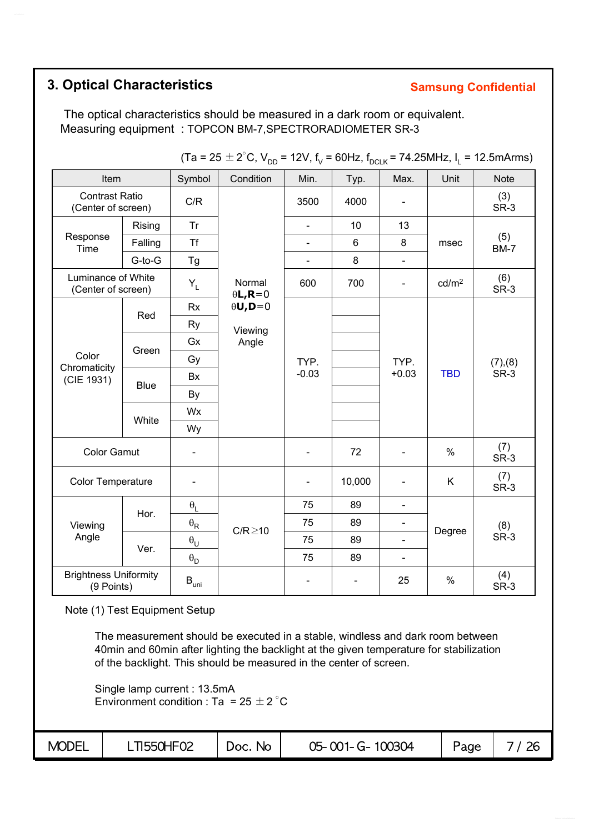# **3. Optical Characteristics**

#### **Samsung Confidential**

The optical characteristics should be measured in a dark room or equivalent. Measuring equipment : TOPCON BM-7,SPECTRORADIOMETER SR-3

| Item                                        |             | Symbol                           | Condition                 | Min.                         | Typ.                     | Max.                     | Unit              | <b>Note</b>        |
|---------------------------------------------|-------------|----------------------------------|---------------------------|------------------------------|--------------------------|--------------------------|-------------------|--------------------|
| <b>Contrast Ratio</b><br>(Center of screen) |             | C/R                              |                           | 3500                         | 4000                     | $\overline{\phantom{a}}$ |                   | (3)<br>SR-3        |
|                                             | Rising      | <b>Tr</b>                        |                           | $\blacksquare$               | 10                       | 13                       |                   |                    |
| Response<br>Time                            | Falling     | <b>Tf</b>                        |                           |                              | $6\phantom{1}$           | 8                        | msec              | (5)<br><b>BM-7</b> |
|                                             | G-to-G      | Tg                               |                           | $\overline{\phantom{0}}$     | 8                        | $\blacksquare$           |                   |                    |
| Luminance of White<br>(Center of screen)    |             | $Y_L$                            | Normal<br>$\theta L, R=0$ | 600                          | 700                      | $\overline{\phantom{a}}$ | cd/m <sup>2</sup> | (6)<br>SR-3        |
|                                             |             | <b>Rx</b>                        | $\theta$ U,D=0            |                              |                          |                          |                   |                    |
|                                             | Red         | <b>Ry</b>                        | Viewing                   |                              |                          |                          | TYP.              | (7), (8)<br>SR-3   |
| Color<br>Chromaticity<br>(CIE 1931)         |             | Gx                               | Angle                     |                              |                          |                          |                   |                    |
|                                             | Green       | Gy                               |                           | TYP.                         |                          |                          |                   |                    |
|                                             |             | Bx                               |                           | $-0.03$                      |                          | $+0.03$                  | <b>TBD</b>        |                    |
|                                             | <b>Blue</b> | By                               |                           |                              |                          |                          |                   |                    |
|                                             |             | Wx                               |                           |                              |                          |                          |                   |                    |
|                                             | White       | Wy                               |                           |                              |                          |                          |                   |                    |
| <b>Color Gamut</b>                          |             |                                  |                           | $\qquad \qquad \blacksquare$ | 72                       | $\overline{\phantom{a}}$ | $\%$              | (7)<br>SR-3        |
| Color Temperature                           |             |                                  |                           | -                            | 10,000                   | $\overline{\phantom{a}}$ | Κ                 | (7)<br>SR-3        |
|                                             |             | $\theta_L$                       |                           | 75                           | 89                       | $\blacksquare$           |                   |                    |
| Viewing                                     | Hor.        | $\theta_{\sf R}$                 |                           | 75                           | 89                       | $\blacksquare$           |                   | (8)                |
| Angle                                       |             | $\theta_{\rm U}$                 | $C/R \ge 10$              | 75                           | 89                       | $\blacksquare$           | Degree            | SR-3               |
|                                             | Ver.        | $\boldsymbol{\theta}_\mathsf{D}$ |                           | 75                           | 89                       | $\overline{\phantom{a}}$ |                   |                    |
| <b>Brightness Uniformity</b><br>(9 Points)  |             | $\mathsf{B}_{\mathsf{uni}}$      |                           | $\qquad \qquad \blacksquare$ | $\overline{\phantom{a}}$ | 25                       | %                 | (4)<br>SR-3        |

(Ta = 25  $\pm$  2°C, V<sub>DD</sub> = 12V, f<sub>V</sub> = 60Hz, f<sub>DCLK</sub> = 74.25MHz, I<sub>L</sub> = 12.5mArms)

Note (1) Test Equipment Setup

The measurement should be executed in a stable, windless and dark room between 40min and 60min after lighting the backlight at the given temperature for stabilization of the backlight. This should be measured in the center of screen.

Single lamp current : 13.5mA Environment condition : Ta = 25  $\pm$  2 °C

| <b>MODEL</b><br><b>TI550HF02</b><br>05-001-G-100304<br><b>No</b><br>Page<br>Doc. |
|----------------------------------------------------------------------------------|
|----------------------------------------------------------------------------------|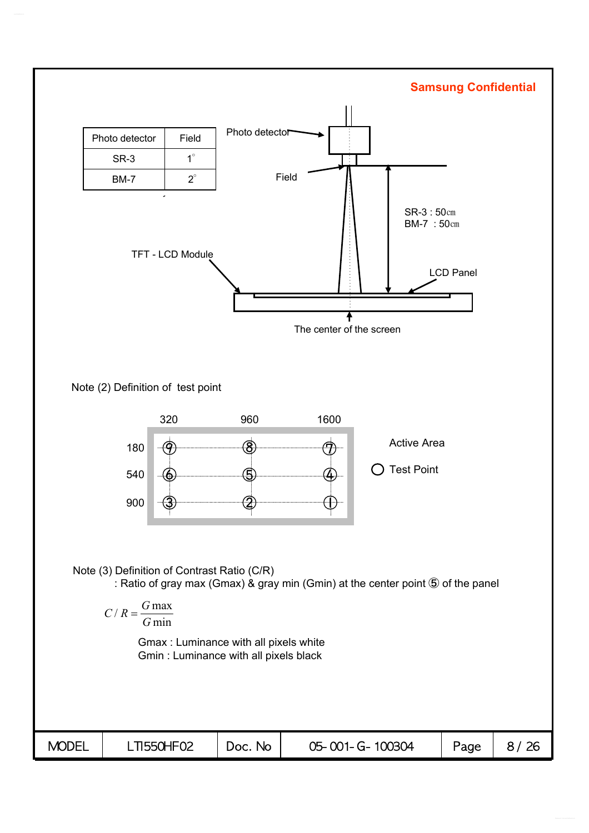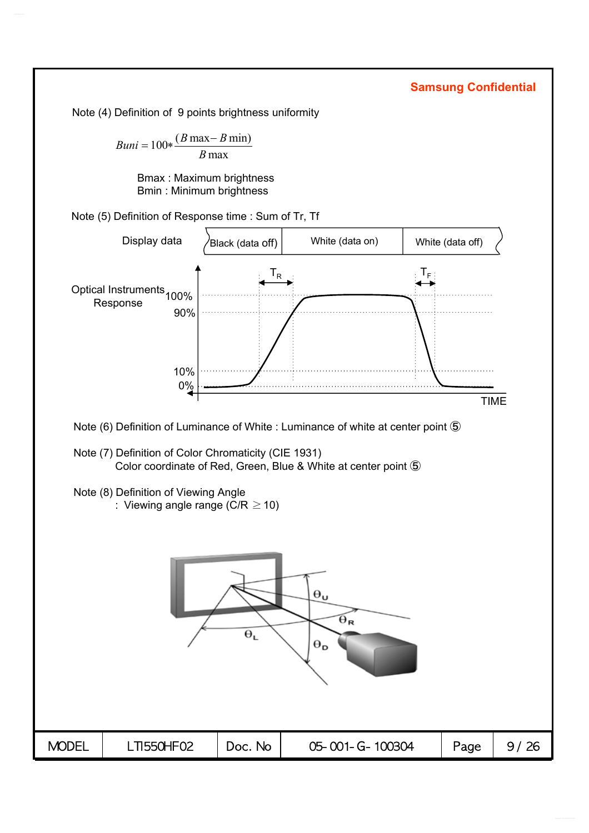Note (4) Definition of 9 points brightness uniformity

 $Buni = 100 * \frac{(B \max - B \min)}{B}$ *B* max

> Bmax : Maximum brightness Bmin : Minimum brightness

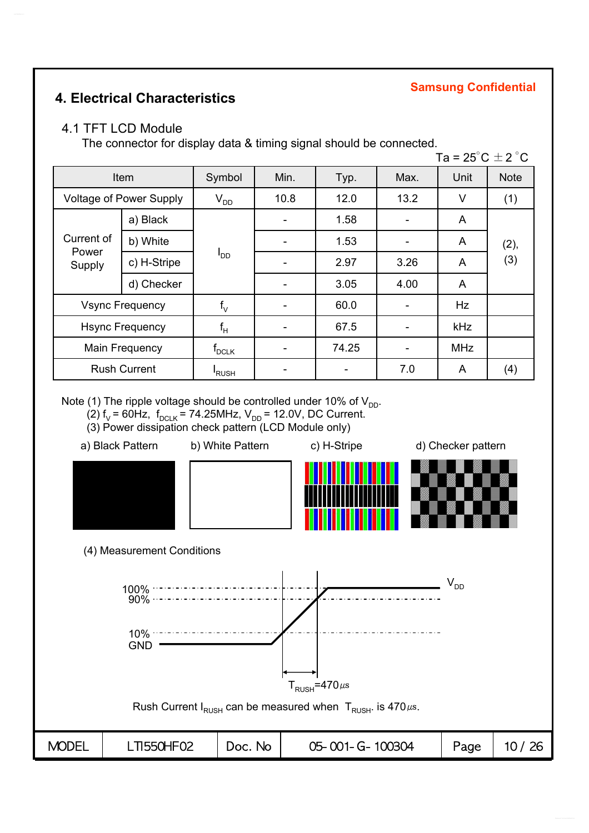### **4. Electrical Characteristics**

#### **Samsung Confidential**

#### 4.1 TFT LCD Module

The connector for display data & timing signal should be connected.

|                        |                                |                            |      |       |      | Ta = $25^{\circ}$ C $\pm$ 2 $^{\circ}$ C |             |  |
|------------------------|--------------------------------|----------------------------|------|-------|------|------------------------------------------|-------------|--|
|                        | Item                           | Symbol                     | Min. | Typ.  | Max. | Unit                                     | <b>Note</b> |  |
|                        | <b>Voltage of Power Supply</b> | $V_{DD}$                   | 10.8 | 12.0  | 13.2 | V                                        | (1)         |  |
|                        | a) Black                       |                            |      | 1.58  |      | A                                        |             |  |
| Current of             | b) White                       | $I_{DD}$                   |      | 1.53  |      | A                                        | (2),        |  |
| Power<br>Supply        | c) H-Stripe                    |                            |      | 2.97  | 3.26 | A                                        | (3)         |  |
|                        | d) Checker                     |                            |      | 3.05  | 4.00 | A                                        |             |  |
|                        | <b>Vsync Frequency</b>         | $f_v$                      |      | 60.0  |      | Hz                                       |             |  |
| <b>Hsync Frequency</b> |                                | $f_H$                      |      | 67.5  |      | kHz                                      |             |  |
| <b>Main Frequency</b>  |                                | $f_{\textrm{\tiny{DCLK}}}$ |      | 74.25 |      | <b>MHz</b>                               |             |  |
|                        | <b>Rush Current</b>            | <sup>I</sup> RUSH          |      |       | 7.0  | A                                        | (4)         |  |

Note (1) The ripple voltage should be controlled under 10% of  $V_{DD}$ .

(2)  $f_V$  = 60Hz,  $f_{DCLK}$  = 74.25MHz,  $V_{DD}$  = 12.0V, DC Current.

(3) Power dissipation check pattern (LCD Module only)

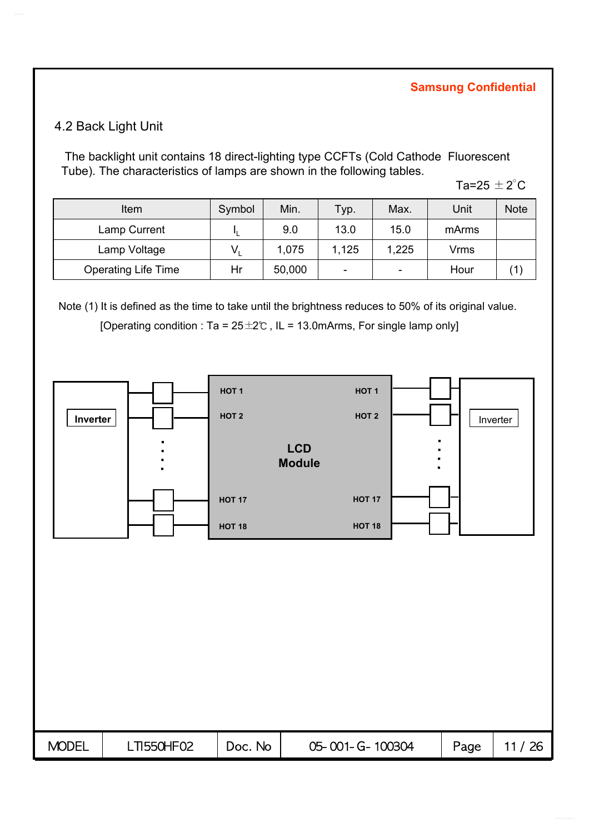#### 4.2 Back Light Unit

The backlight unit contains 18 direct-lighting type CCFTs (Cold Cathode Fluorescent Tube). The characteristics of lamps are shown in the following tables.

Ta=25  $\pm$  2 $^{\circ}$ C

| <b>Item</b>                | Symbol | Min.   | Typ.                     | Max.                     | Unit  | <b>Note</b> |
|----------------------------|--------|--------|--------------------------|--------------------------|-------|-------------|
| Lamp Current               |        | 9.0    | 13.0                     | 15.0                     | mArms |             |
| Lamp Voltage               |        | 1,075  | 1,125                    | 1,225                    | Vrms  |             |
| <b>Operating Life Time</b> | Hr     | 50,000 | $\overline{\phantom{0}}$ | $\overline{\phantom{0}}$ | Hour  |             |

Note (1) It is defined as the time to take until the brightness reduces to 50% of its original value.

[Operating condition : Ta =  $25 \pm 2^{\circ}$ C, IL = 13.0mArms, For single lamp only]

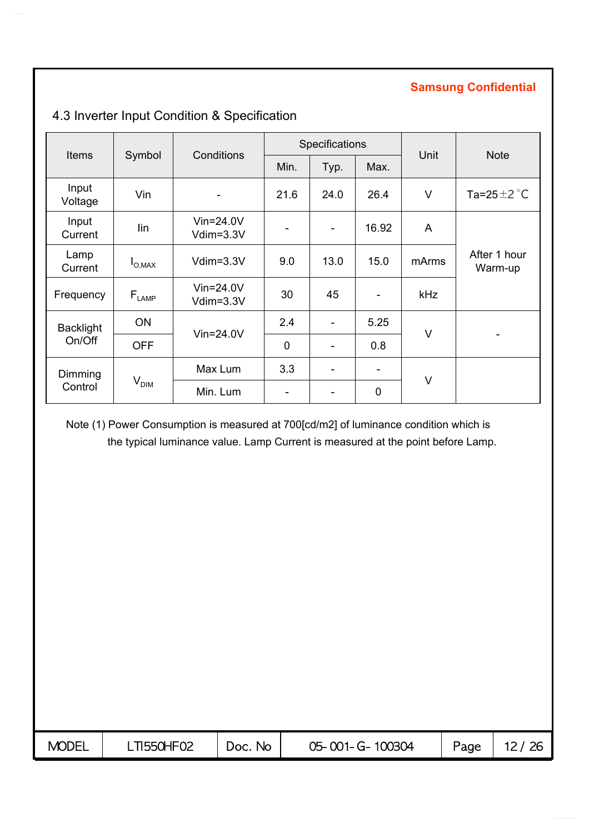|                  |                              | Conditions                   |             | Specifications               |             | Unit   | <b>Note</b>               |  |
|------------------|------------------------------|------------------------------|-------------|------------------------------|-------------|--------|---------------------------|--|
| <b>Items</b>     | Symbol                       |                              | Min.        | Typ.                         | Max.        |        |                           |  |
| Input<br>Voltage | Vin                          | $\qquad \qquad \blacksquare$ | 21.6        | 24.0                         | 26.4        | $\vee$ | Ta=25 $\pm$ 2 $\degree$ C |  |
| Input<br>Current | lin                          | $V$ in=24.0V<br>Vdim=3.3V    |             | ۰                            | 16.92       | A      |                           |  |
| Lamp<br>Current  | $I_{O,MAX}$                  | $Vdim=3.3V$                  | 9.0         | 13.0                         | 15.0        | mArms  | After 1 hour<br>Warm-up   |  |
| Frequency        | $\mathsf{F}_{\textsf{LAMP}}$ | $V$ in=24.0 $V$<br>Vdim=3.3V | 30          | 45                           |             | kHz    |                           |  |
| <b>Backlight</b> | <b>ON</b>                    |                              | 2.4         | $\overline{\phantom{0}}$     | 5.25        |        |                           |  |
| On/Off           | <b>OFF</b>                   | $Vin=24.0V$                  | $\mathbf 0$ | $\qquad \qquad \blacksquare$ | 0.8         | $\vee$ |                           |  |
| Dimming          |                              | Max Lum                      | 3.3         | $\overline{\phantom{a}}$     | -           |        |                           |  |
| Control          | V <sub>DIM</sub>             | Min. Lum                     |             |                              | $\mathbf 0$ | V      |                           |  |

# 4.3 Inverter Input Condition & Specification

Note (1) Power Consumption is measured at 700[cd/m2] of luminance condition which is the typical luminance value. Lamp Current is measured at the point before Lamp.

| <b>MODEL</b> | <b>TI550HF02</b> | No<br>'JOC. | 05-001-G-100304 | Page |  |
|--------------|------------------|-------------|-----------------|------|--|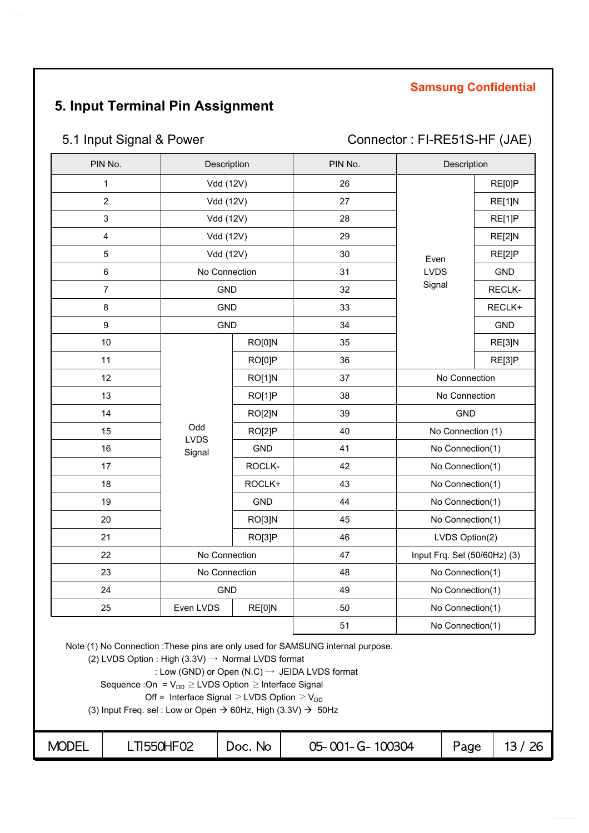# **5. Input Terminal Pin Assignment**

# 5.1 Input Signal & Power Connector : FI-RE51S-HF (JAE)

| PIN No.                 | Description        |            | PIN No. | Description                  |            |
|-------------------------|--------------------|------------|---------|------------------------------|------------|
| $\mathbf 1$             | Vdd (12V)          |            | 26      |                              | RE[0]P     |
| $\overline{2}$          | Vdd (12V)          |            | 27      |                              | RE[1]N     |
| $\mathbf{3}$            | Vdd (12V)          |            | 28      |                              | RE[1]P     |
| $\overline{\mathbf{4}}$ | Vdd (12V)          |            | 29      |                              | RE[2]N     |
| $\sqrt{5}$              | Vdd (12V)          |            | 30      | Even                         | RE[2]P     |
| $\,6$                   | No Connection      |            | 31      | <b>LVDS</b>                  | <b>GND</b> |
| $\overline{7}$          | <b>GND</b>         |            | 32      | Signal                       | RECLK-     |
| 8                       | <b>GND</b>         |            | 33      |                              | RECLK+     |
| 9                       | <b>GND</b>         |            | 34      |                              | <b>GND</b> |
| 10                      |                    | RO[0]N     | 35      |                              | RE[3]N     |
| 11                      |                    | RO[0]P     | 36      |                              | RE[3]P     |
| 12                      |                    | RO[1]N     | 37      | No Connection                |            |
| 13                      |                    | RO[1]P     | 38      | No Connection                |            |
| 14                      |                    | RO[2]N     | 39      | <b>GND</b>                   |            |
| 15                      | Odd<br><b>LVDS</b> | RO[2]P     | 40      | No Connection (1)            |            |
| 16                      | Signal             | GND        | 41      | No Connection(1)             |            |
| 17                      |                    | ROCLK-     | 42      | No Connection(1)             |            |
| 18                      |                    | ROCLK+     | 43      | No Connection(1)             |            |
| 19                      |                    | <b>GND</b> | 44      | No Connection(1)             |            |
| 20                      |                    | RO[3]N     | 45      | No Connection(1)             |            |
| 21                      |                    | RO[3]P     | 46      | LVDS Option(2)               |            |
| 22                      | No Connection      |            | 47      | Input Frq. Sel (50/60Hz) (3) |            |
| 23                      | No Connection      |            | 48      | No Connection(1)             |            |
| 24                      | <b>GND</b>         |            | 49      | No Connection(1)             |            |
| 25                      | Even LVDS          | RE[0]N     | 50      | No Connection(1)             |            |
|                         |                    |            | 51      | No Connection(1)             |            |

Note (1) No Connection :These pins are only used for SAMSUNG internal purpose.

(2) LVDS Option : High  $(3.3V) \rightarrow$  Normal LVDS format

: Low (GND) or Open (N.C) 
$$
\rightarrow
$$
 JEIDA LVDS format

Sequence : On =  $V_{DD} \geq LVDS$  Option  $\geq$  Interface Signal

Off = Interface Signal  $\geq$  LVDS Option  $\geq$  V<sub>DD</sub>

(3) Input Freq. sel : Low or Open  $\rightarrow$  60Hz, High (3.3V)  $\rightarrow$  50Hz

| <b>MODEL</b><br>T1550HF02<br>26<br>100304<br>05-001-G-<br>No.<br>Page<br>DOC.<br>ॱ∽<br>⊶ |  |
|------------------------------------------------------------------------------------------|--|
|------------------------------------------------------------------------------------------|--|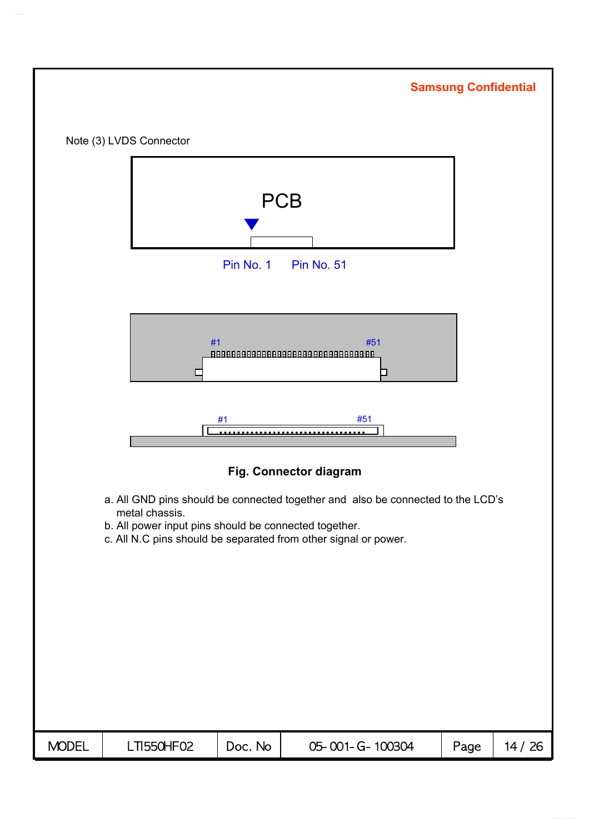|              |                                                                         |           |                                                                                                                                                    | <b>Samsung Confidential</b> |       |
|--------------|-------------------------------------------------------------------------|-----------|----------------------------------------------------------------------------------------------------------------------------------------------------|-----------------------------|-------|
|              | Note (3) LVDS Connector                                                 |           |                                                                                                                                                    |                             |       |
|              |                                                                         | Pin No. 1 | <b>PCB</b><br><b>Pin No. 51</b>                                                                                                                    |                             |       |
|              | #1                                                                      | #1        | #51<br>88888888888888888888888888888888<br>$\Box$<br>#51                                                                                           |                             |       |
|              |                                                                         |           | Fig. Connector diagram                                                                                                                             |                             |       |
|              | metal chassis.<br>b. All power input pins should be connected together. |           | a. All GND pins should be connected together and also be connected to the LCD's<br>c. All N.C pins should be separated from other signal or power. |                             |       |
| <b>MODEL</b> | <b>LTI550HF02</b>                                                       | Doc. No   | 05-001-G-100304                                                                                                                                    | Page                        | 14/26 |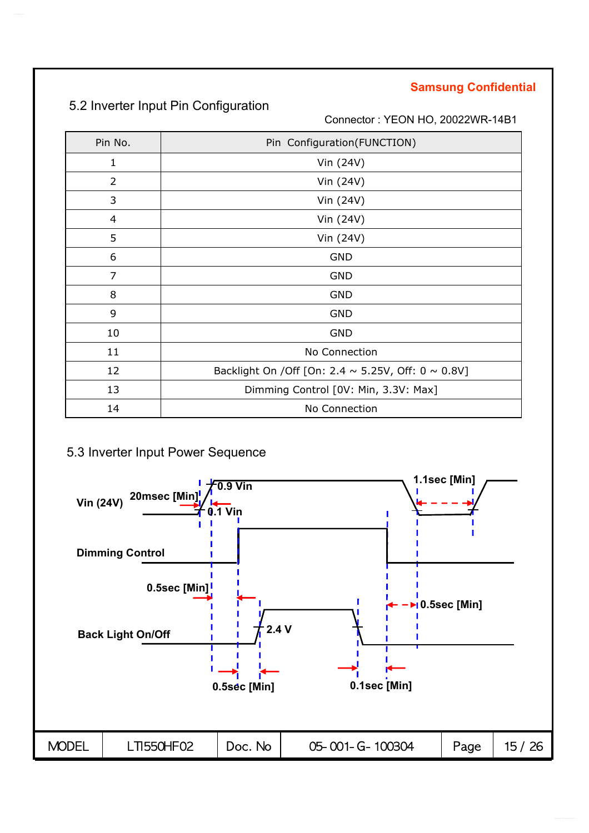# 5.2 Inverter Input Pin Configuration

Connector : YEON HO, 20022WR-14B1

| Pin No.        | Pin Configuration(FUNCTION)                                   |
|----------------|---------------------------------------------------------------|
| 1              | Vin (24V)                                                     |
| $\overline{2}$ | Vin (24V)                                                     |
| 3              | Vin (24V)                                                     |
| 4              | Vin (24V)                                                     |
| 5              | Vin (24V)                                                     |
| 6              | <b>GND</b>                                                    |
| 7              | <b>GND</b>                                                    |
| 8              | <b>GND</b>                                                    |
| 9              | <b>GND</b>                                                    |
| 10             | <b>GND</b>                                                    |
| 11             | No Connection                                                 |
| 12             | Backlight On / Off [On: 2.4 $\sim$ 5.25V, Off: 0 $\sim$ 0.8V] |
| 13             | Dimming Control [0V: Min, 3.3V: Max]                          |
| 14             | No Connection                                                 |

### 5.3 Inverter Input Power Sequence

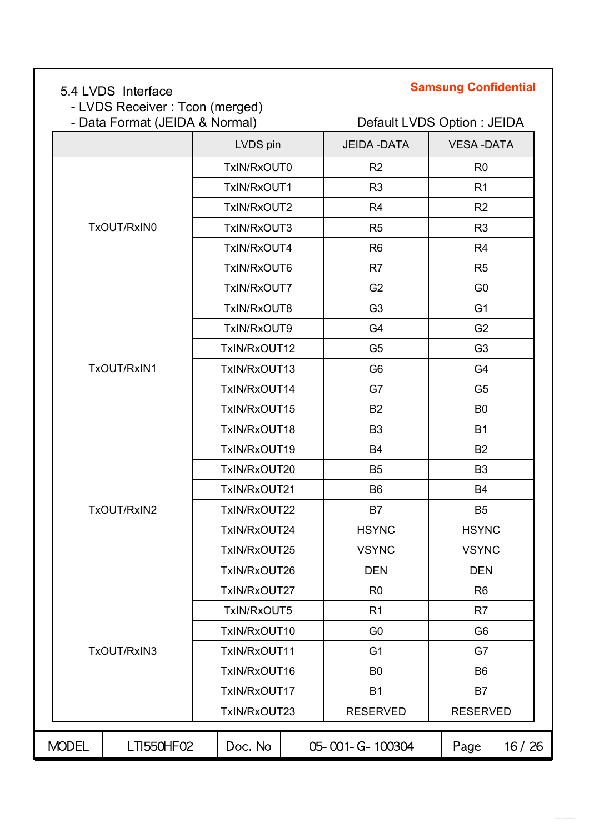- LVDS Receiver : Tcon (merged)

# **Samsung Confidential** 5.4 LVDS Interface

# - Data Format (JEIDA & Normal) Default LVDS Option : JEIDA

|              |             | LVDS pin     | <b>JEIDA - DATA</b> | <b>VESA-DATA</b> |       |
|--------------|-------------|--------------|---------------------|------------------|-------|
|              |             | TxIN/RxOUT0  | R <sub>2</sub>      | R <sub>0</sub>   |       |
|              |             | TxIN/RxOUT1  | R <sub>3</sub>      | R1               |       |
|              |             | TxIN/RxOUT2  | R <sub>4</sub>      | R <sub>2</sub>   |       |
|              | TxOUT/RxIN0 | TxIN/RxOUT3  | R <sub>5</sub>      | R <sub>3</sub>   |       |
|              |             | TxIN/RxOUT4  | R <sub>6</sub>      | R <sub>4</sub>   |       |
|              |             | TxIN/RxOUT6  | R7                  | R <sub>5</sub>   |       |
|              |             | TxIN/RxOUT7  | G <sub>2</sub>      | G <sub>0</sub>   |       |
|              |             | TxIN/RxOUT8  | G <sub>3</sub>      | G <sub>1</sub>   |       |
|              |             | TxIN/RxOUT9  | G <sub>4</sub>      | G <sub>2</sub>   |       |
|              |             | TxIN/RxOUT12 | G <sub>5</sub>      | G <sub>3</sub>   |       |
|              | TxOUT/RxIN1 | TxIN/RxOUT13 | G <sub>6</sub>      | G4               |       |
|              |             | TxIN/RxOUT14 | G7                  | G <sub>5</sub>   |       |
|              |             | TxIN/RxOUT15 | B <sub>2</sub>      | B <sub>0</sub>   |       |
|              |             | TxIN/RxOUT18 | B <sub>3</sub>      | <b>B1</b>        |       |
|              |             | TxIN/RxOUT19 | <b>B4</b>           | B <sub>2</sub>   |       |
|              |             | TxIN/RxOUT20 | B <sub>5</sub>      | B <sub>3</sub>   |       |
|              |             | TxIN/RxOUT21 | B <sub>6</sub>      | <b>B4</b>        |       |
|              | TxOUT/RxIN2 | TxIN/RxOUT22 | B7                  | B <sub>5</sub>   |       |
|              |             | TxIN/RxOUT24 | <b>HSYNC</b>        | <b>HSYNC</b>     |       |
|              |             | TxIN/RxOUT25 | <b>VSYNC</b>        | <b>VSYNC</b>     |       |
|              |             | TxIN/RxOUT26 | <b>DEN</b>          | <b>DEN</b>       |       |
|              |             | TxIN/RxOUT27 | R <sub>0</sub>      | R <sub>6</sub>   |       |
|              |             | TxIN/RxOUT5  | R <sub>1</sub>      | R7               |       |
|              |             | TxIN/RxOUT10 | G <sub>0</sub>      | G <sub>6</sub>   |       |
|              | TxOUT/RxIN3 | TxIN/RxOUT11 | G <sub>1</sub>      | G7               |       |
|              |             | TxIN/RxOUT16 | B <sub>0</sub>      | B <sub>6</sub>   |       |
|              |             | TxIN/RxOUT17 | <b>B1</b>           | B7               |       |
|              |             | TxIN/RxOUT23 | <b>RESERVED</b>     | <b>RESERVED</b>  |       |
| <b>MODEL</b> | LTI550HF02  | Doc. No      | 05-001-G-100304     | Page             | 16/26 |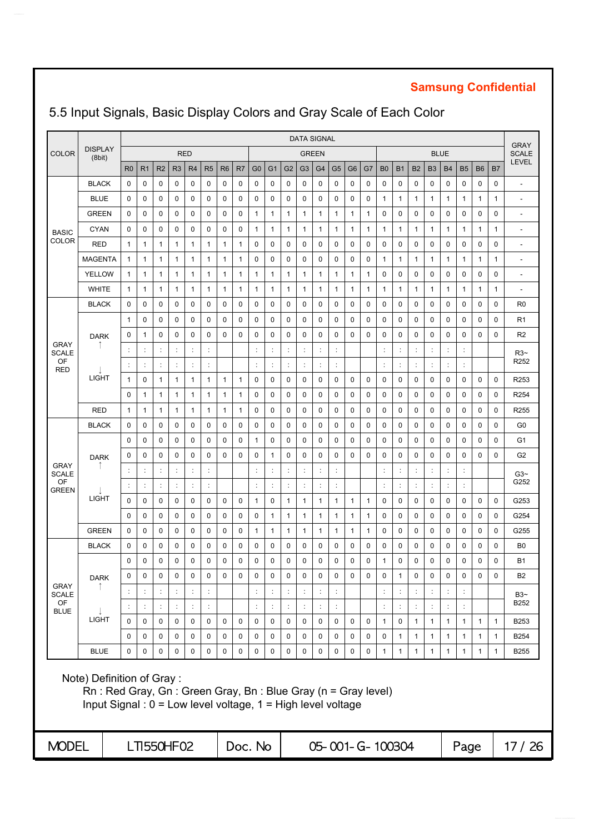|                             |                                                                                                                                                              |                |                      |                |                |                      |                |                |             |                |                |                      | <b>DATA SIGNAL</b>   |                |                      |                |                 |                |              |              |                      |                      |                      |              |              | <b>GRAY</b>              |
|-----------------------------|--------------------------------------------------------------------------------------------------------------------------------------------------------------|----------------|----------------------|----------------|----------------|----------------------|----------------|----------------|-------------|----------------|----------------|----------------------|----------------------|----------------|----------------------|----------------|-----------------|----------------|--------------|--------------|----------------------|----------------------|----------------------|--------------|--------------|--------------------------|
| <b>COLOR</b>                | <b>DISPLAY</b><br>(8bit)                                                                                                                                     |                |                      |                |                | <b>RED</b>           |                |                |             |                |                |                      | <b>GREEN</b>         |                |                      |                |                 |                |              |              |                      | <b>BLUE</b>          |                      |              |              | <b>SCALE</b>             |
|                             |                                                                                                                                                              | R <sub>0</sub> | R <sub>1</sub>       | R <sub>2</sub> | R <sub>3</sub> | R <sub>4</sub>       | R <sub>5</sub> | R <sub>6</sub> | R7          | G <sub>0</sub> | G <sub>1</sub> | G <sub>2</sub>       | G3                   | G <sub>4</sub> | G <sub>5</sub>       | G <sub>6</sub> | G7              | B <sub>0</sub> | <b>B1</b>    | <b>B2</b>    | B <sub>3</sub>       | <b>B4</b>            | <b>B5</b>            | <b>B6</b>    | B7           | <b>LEVEL</b>             |
|                             | <b>BLACK</b>                                                                                                                                                 | 0              | 0                    | 0              | 0              | 0                    | 0              | 0              | 0           | 0              | 0              | 0                    | 0                    | 0              | 0                    | 0              | 0               | 0              | 0            | 0            | 0                    | 0                    | 0                    | 0            | 0            | $\overline{\phantom{a}}$ |
|                             | <b>BLUE</b>                                                                                                                                                  | 0              | 0                    | 0              | 0              | 0                    | 0              | 0              | 0           | 0              | 0              | 0                    | 0                    | 0              | 0                    | 0              | 0               | 1              | $\mathbf{1}$ | 1            | 1                    | $\mathbf{1}$         | 1                    | $\mathbf{1}$ | 1            | $\overline{\phantom{a}}$ |
|                             | <b>GREEN</b>                                                                                                                                                 | 0              | 0                    | 0              | 0              | 0                    | 0              | 0              | 0           | 1              | 1              | 1                    | 1                    | 1              | 1                    | 1              | 1               | 0              | 0            | 0            | 0                    | 0                    | 0                    | 0            | 0            | $\overline{a}$           |
| <b>BASIC</b>                | <b>CYAN</b>                                                                                                                                                  | 0              | $\mathbf 0$          | $\mathbf 0$    | $\mathbf 0$    | 0                    | 0              | 0              | $\mathbf 0$ | 1              | $\mathbf{1}$   | 1                    | 1                    | 1              | 1                    | 1              | 1               | 1              | $\mathbf{1}$ | 1            | 1                    | $\mathbf{1}$         | 1                    | $\mathbf{1}$ | 1            | $\overline{a}$           |
| <b>COLOR</b>                | <b>RED</b>                                                                                                                                                   | $\mathbf{1}$   | $\mathbf{1}$         | 1              | $\mathbf{1}$   | 1                    | 1              | 1              | 1           | 0              | 0              | $\mathbf 0$          | 0                    | $\mathbf 0$    | 0                    | $\mathbf 0$    | 0               | 0              | 0            | 0            | 0                    | $\mathbf 0$          | 0                    | $\mathbf 0$  | 0            | $\overline{\phantom{a}}$ |
|                             | <b>MAGENTA</b>                                                                                                                                               | $\mathbf{1}$   | 1                    | 1              | $\mathbf{1}$   | 1                    | 1              | $\mathbf{1}$   | 1           | 0              | $\mathbf 0$    | $\mathbf 0$          | $\mathbf 0$          | $\mathbf 0$    | 0                    | $\mathbf 0$    | 0               | 1              | 1            | 1            | 1                    | $\mathbf{1}$         | 1                    | $\mathbf{1}$ | 1            | $\overline{a}$           |
|                             | YELLOW                                                                                                                                                       | $\mathbf{1}$   | 1                    | 1              | $\mathbf{1}$   | 1                    | 1              | 1              | 1           | 1              | 1              | 1                    | 1                    | 1              | 1                    | 1              | $\mathbf{1}$    | 0              | 0            | 0            | 0                    | 0                    | 0                    | 0            | 0            | $\overline{\phantom{a}}$ |
|                             | <b>WHITE</b>                                                                                                                                                 | 1              | 1                    | 1              | $\mathbf{1}$   | 1                    | 1              | 1              | 1           | 1              | 1              | 1                    | 1                    | 1              | 1                    | 1              | $\mathbf{1}$    | 1              | 1            | 1            | 1                    | 1                    | 1                    | $\mathbf{1}$ | 1            | ٠                        |
|                             | <b>BLACK</b>                                                                                                                                                 | 0              | 0                    | 0              | 0              | 0                    | 0              | 0              | 0           | 0              | 0              | 0                    | 0                    | 0              | 0                    | 0              | 0               | 0              | 0            | 0            | 0                    | 0                    | 0                    | 0            | 0            | R <sub>0</sub>           |
|                             |                                                                                                                                                              | $\mathbf{1}$   | $\mathbf 0$          | 0              | $\mathbf 0$    | 0                    | 0              | 0              | 0           | 0              | 0              | 0                    | 0                    | 0              | 0                    | $\mathbf 0$    | $\mathbf 0$     | 0              | 0            | 0            | 0                    | $\mathbf 0$          | 0                    | $\mathbf 0$  | 0            | R <sub>1</sub>           |
|                             | <b>DARK</b>                                                                                                                                                  | 0              | $\mathbf{1}$         | 0              | $\mathbf 0$    | 0                    | 0              | 0              | 0           | 0              | 0              | 0                    | 0                    | $\mathbf 0$    | 0                    | $\mathbf 0$    | $\mathbf 0$     | 0              | 0            | 0            | 0                    | $\mathbf 0$          | 0                    | $\mathbf 0$  | 0            | R <sub>2</sub>           |
| <b>GRAY</b><br><b>SCALE</b> |                                                                                                                                                              |                | $\ddot{\phantom{a}}$ | $\ddot{\cdot}$ | t              | ÷                    | ÷              |                |             |                | ÷              |                      |                      | ÷              | $\ddot{\phantom{a}}$ |                |                 | ÷              | ÷            |              |                      | ÷                    | ÷                    |              |              | $R3-$                    |
| OF<br><b>RED</b>            |                                                                                                                                                              |                | ÷                    | ÷              | ÷              | $\ddot{\cdot}$       | ÷              |                |             | ċ              | ÷              | $\ddot{\phantom{a}}$ | ÷                    | $\ddot{\cdot}$ | ċ                    |                |                 | ċ              | ÷            | ÷            | $\ddot{\phantom{a}}$ | ÷                    | ÷                    |              |              | R <sub>252</sub>         |
|                             | <b>LIGHT</b>                                                                                                                                                 | $\mathbf{1}$   | 0                    | 1              | $\mathbf{1}$   | 1                    | $\mathbf{1}$   | 1              | 1           | 0              | 0              | 0                    | 0                    | 0              | 0                    | 0              | 0               | 0              | 0            | 0            | 0                    | 0                    | 0                    | 0            | 0            | R <sub>253</sub>         |
|                             |                                                                                                                                                              | 0              | 1                    | 1              | $\mathbf{1}$   | 1                    | 1              | $\mathbf{1}$   | 1           | 0              | 0              | 0                    | 0                    | 0              | 0                    | 0              | 0               | 0              | 0            | 0            | 0                    | 0                    | 0                    | 0            | 0            | R <sub>254</sub>         |
|                             | <b>RED</b>                                                                                                                                                   | 1              | 1                    | 1              | 1              | 1                    | 1              | 1              | 1           | 0              | 0              | 0                    | 0                    | 0              | 0                    | $\mathbf 0$    | 0               | 0              | 0            | 0            | 0                    | $\mathbf 0$          | 0                    | 0            | 0            | R <sub>255</sub>         |
|                             | <b>BLACK</b>                                                                                                                                                 | 0              | $\mathbf 0$          | $\mathbf 0$    | 0              | 0                    | 0              | 0              | 0           | 0              | $\mathbf 0$    | $\mathbf 0$          | $\mathbf 0$          | $\mathbf 0$    | 0                    | $\mathbf 0$    | 0               | 0              | 0            | $\mathbf 0$  | 0                    | $\mathbf 0$          | 0                    | $\mathbf 0$  | 0            | G <sub>0</sub>           |
|                             | <b>DARK</b>                                                                                                                                                  | 0              | $\mathbf 0$          | $\mathbf 0$    | 0              | 0                    | 0              | 0              | $\mathbf 0$ | 1              | $\mathbf 0$    | 0                    | 0                    | 0              | 0                    | $\mathbf 0$    | $\mathbf 0$     | 0              | 0            | $\mathbf 0$  | 0                    | $\mathbf 0$          | 0                    | $\mathbf 0$  | $\mathbf 0$  | G1                       |
| <b>GRAY</b>                 |                                                                                                                                                              | 0              | 0                    | 0              | 0              | 0                    | 0              | 0              | 0           | 0              | 1              | 0                    | 0                    | 0              | 0                    | $\mathbf 0$    | 0               | 0              | 0            | 0            | 0                    | 0                    | 0                    | 0            | 0            | G <sub>2</sub>           |
| <b>SCALE</b>                |                                                                                                                                                              | $\ddot{\cdot}$ | $\ddot{\phantom{a}}$ |                | ÷              | $\ddot{\phantom{a}}$ | t              |                |             | ċ              | ÷              |                      | ¢                    | $\ddot{\cdot}$ | $\ddot{\cdot}$       |                |                 | $\ddot{.}$     | $\ddot{.}$   | ċ            | ċ                    | ÷                    | $\ddot{\phantom{a}}$ |              |              | $G3-$                    |
| OF<br><b>GREEN</b>          |                                                                                                                                                              | ÷              | $\ddot{\cdot}$       | ÷              | t,             | $\ddot{\cdot}$       | ÷              |                |             | ċ              | ÷              |                      | $\ddot{\cdot}$       | ÷              | İ                    |                |                 | ÷              | ÷            | ÷            | ¢                    | $\ddot{\cdot}$       | $\ddot{\cdot}$       |              |              | G252                     |
|                             | <b>LIGHT</b>                                                                                                                                                 | 0              | 0                    | 0              | 0              | 0                    | 0              | 0              | 0           | 1              | 0              | 1                    | 1                    | 1              | 1                    | 1              | $\mathbf{1}$    | 0              | 0            | 0            | 0                    | $\mathbf 0$          | 0                    | 0            | 0            | G253                     |
|                             |                                                                                                                                                              | 0              | 0                    | 0              | 0              | 0                    | 0              | 0              | 0           | 0              | 1              | 1                    | 1                    | 1              | 1                    | 1              | 1               | 0              | 0            | 0            | 0                    | 0                    | 0                    | 0            | 0            | G254                     |
|                             | <b>GREEN</b>                                                                                                                                                 | 0              | 0                    | 0              | 0              | 0                    | 0              | 0              | 0           | 1              | 1              | 1                    | 1                    | 1              | 1                    | 1              | $\mathbf{1}$    | 0              | 0            | 0            | 0                    | $\mathbf 0$          | 0                    | 0            | 0            | G255                     |
|                             | <b>BLACK</b>                                                                                                                                                 | 0              | 0                    | 0              | 0              | 0                    | 0              | 0              | 0           | 0              | 0              | 0                    | 0                    | 0              | 0                    | 0              | 0               | 0              | 0            | 0            | 0                    | 0                    | 0                    | 0            | 0            | B0                       |
|                             |                                                                                                                                                              | 0              | 0                    | 0              | 0              | 0                    | 0              | 0              | 0           | 0              | 0              | 0                    | 0                    | 0              | 0                    | $\mathbf 0$    | 0               | 1              | 0            | 0            | 0                    | 0                    | 0                    | 0            | 0            | B1                       |
| <b>GRAY</b>                 | <b>DARK</b>                                                                                                                                                  | 0              | 0                    | 0              | 0              | 0                    | 0              | 0              | 0           | 0              | 0              | 0                    | 0                    | 0              | 0                    | 0              | 0               | 0              | 1            | 0            | 0                    | 0                    | 0                    | 0            | 0            | B <sub>2</sub>           |
| <b>SCALE</b><br>OF          |                                                                                                                                                              |                | $\ddot{\cdot}$       | $\ddot{\cdot}$ | ÷              | $\ddot{\cdot}$       | $\ddot{\cdot}$ |                |             |                | ÷              |                      | $\ddot{\phantom{a}}$ | $\ddot{\cdot}$ |                      |                |                 | $\ddot{\cdot}$ | ÷            | ÷            |                      | $\ddot{\phantom{a}}$ |                      |              |              | $B3-$<br>B252            |
| <b>BLUE</b>                 | <b>LIGHT</b>                                                                                                                                                 |                | ÷                    | $\ddot{\cdot}$ | ÷              | $\ddot{\phantom{a}}$ | ÷              |                |             |                | ÷              |                      | ÷                    | $\ddot{\cdot}$ |                      |                |                 | $\ddot{.}$     | ÷            | ÷            |                      | ÷                    | ÷                    |              |              |                          |
|                             |                                                                                                                                                              | 0              | $\mathbf 0$          | $\mathbf 0$    | $\mathbf 0$    | $\mathbf 0$          | $\mathbf 0$    | $\mathbf 0$    | 0           | 0              | 0              | $\mathbf 0$          | 0                    | $\mathbf 0$    | $\mathbf 0$          | $\mathbf 0$    | $\mathbf 0$     | $\mathbf{1}$   | 0            | $\mathbf{1}$ | $\mathbf{1}$         | $\mathbf{1}$         | $\mathbf{1}$         | $\mathbf{1}$ | $\mathbf{1}$ | B253                     |
|                             |                                                                                                                                                              | 0              | $\pmb{0}$            | 0              | 0              | $\pmb{0}$            | $\pmb{0}$      | $\pmb{0}$      | 0           | 0              | 0              | $\pmb{0}$            | 0                    | $\pmb{0}$      | $\pmb{0}$            | $\pmb{0}$      | $\pmb{0}$       | 0              | $\mathbf{1}$ | $\mathbf{1}$ | $\mathbf{1}$         | $\mathbf{1}$         | $\mathbf{1}$         | $\mathbf{1}$ | $\mathbf{1}$ | <b>B254</b>              |
|                             | <b>BLUE</b>                                                                                                                                                  | 0              | $\mathbf 0$          | 0              | $\mathbf 0$    | $\pmb{0}$            | 0              | $\mathsf 0$    | 0           | 0              | 0              | $\pmb{0}$            | 0                    | $\pmb{0}$      | $\pmb{0}$            | 0              | $\mathsf 0$     | $\mathbf{1}$   | $\mathbf{1}$ | $\mathbf{1}$ | $\mathbf{1}$         | $\mathbf{1}$         | $\mathbf{1}$         | $\mathbf{1}$ | $\mathbf{1}$ | B255                     |
|                             | Note) Definition of Gray:<br>Rn: Red Gray, Gn: Green Gray, Bn: Blue Gray (n = Gray level)<br>Input Signal: $0 = Low$ level voltage, $1 = High$ level voltage |                |                      |                |                |                      |                |                |             |                |                |                      |                      |                |                      |                |                 |                |              |              |                      |                      |                      |              |              |                          |
| <b>MODEL</b>                |                                                                                                                                                              |                |                      |                | LTI550HF02     |                      |                |                |             | Doc. No        |                |                      |                      |                |                      |                | 05-001-G-100304 |                |              |              |                      |                      | Page                 |              |              | 17/26                    |

# 5.5 Input Signals, Basic Display Colors and Gray Scale of Each Color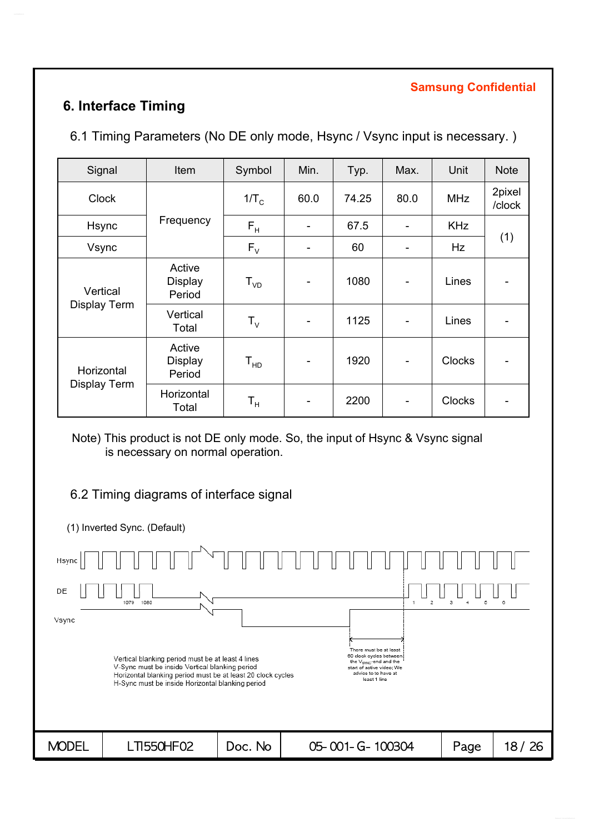# **6. Interface Timing**

6.1 Timing Parameters (No DE only mode, Hsync / Vsync input is necessary. )

| Signal                     | Item                               | Symbol                  | Min. | Typ.  | Max.                         | Unit          | <b>Note</b>      |
|----------------------------|------------------------------------|-------------------------|------|-------|------------------------------|---------------|------------------|
| <b>Clock</b>               |                                    | $1/T_c$                 | 60.0 | 74.25 | 80.0                         | <b>MHz</b>    | 2pixel<br>/clock |
| Hsync                      | Frequency                          | $F_H$                   |      | 67.5  |                              | <b>KHz</b>    |                  |
| Vsync                      |                                    | $F_{V}$                 |      | 60    |                              | Hz            | (1)              |
| Vertical<br>Display Term   | Active<br><b>Display</b><br>Period | ${\sf T}_{\sf vD}$      | -    | 1080  | $\qquad \qquad \blacksquare$ | Lines         |                  |
|                            | Vertical<br>Total                  | $T_{V}$                 |      | 1125  | $\overline{\phantom{0}}$     | Lines         |                  |
| Horizontal<br>Display Term | Active<br><b>Display</b><br>Period | ${\tt T_{HD}}$          | -    | 1920  | $\overline{\phantom{a}}$     | <b>Clocks</b> |                  |
|                            | Horizontal<br>Total                | $\mathsf{T}_\mathsf{H}$ |      | 2200  |                              | <b>Clocks</b> |                  |

Note) This product is not DE only mode. So, the input of Hsync & Vsync signal is necessary on normal operation.

### 6.2 Timing diagrams of interface signal

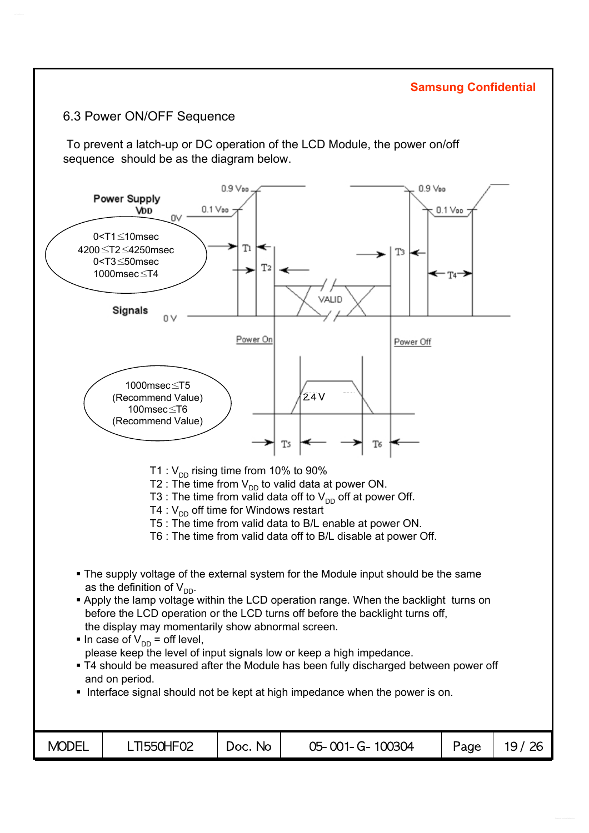#### 6.3 Power ON/OFF Sequence

To prevent a latch-up or DC operation of the LCD Module, the power on/off sequence should be as the diagram below.

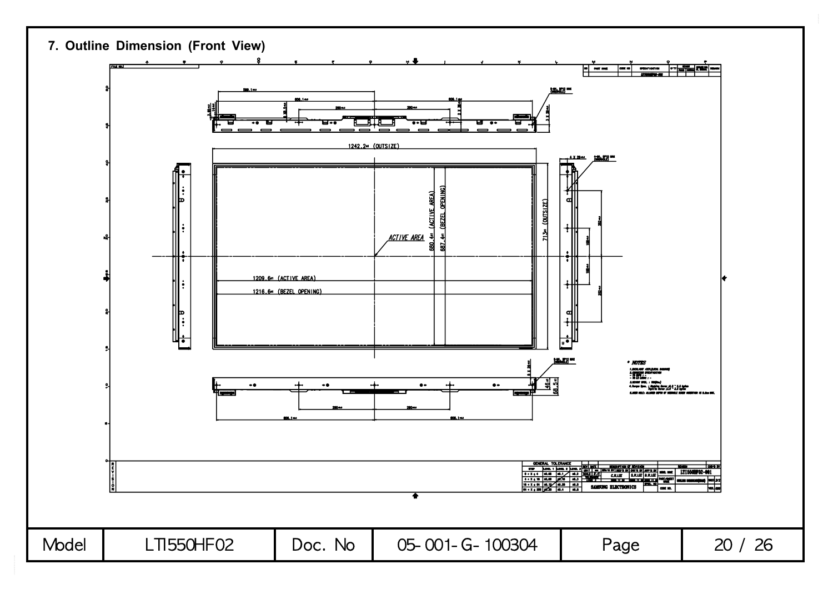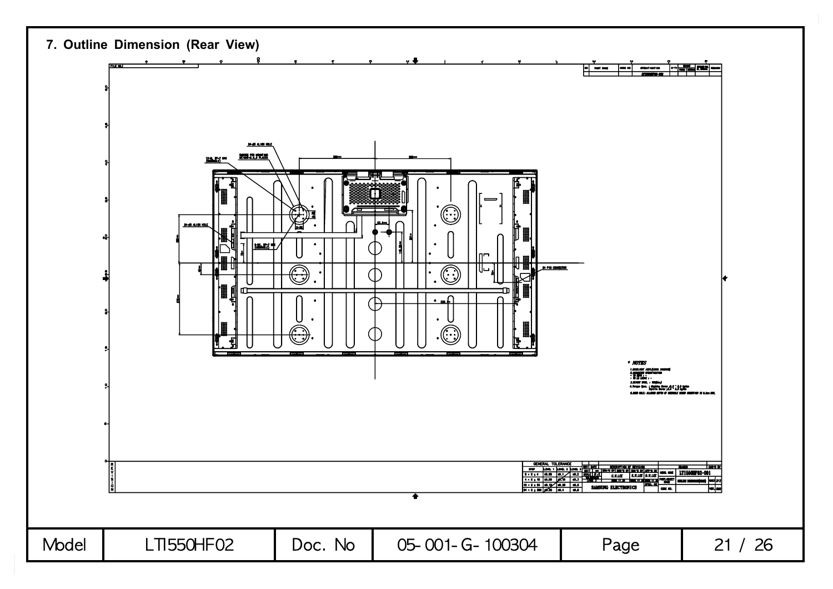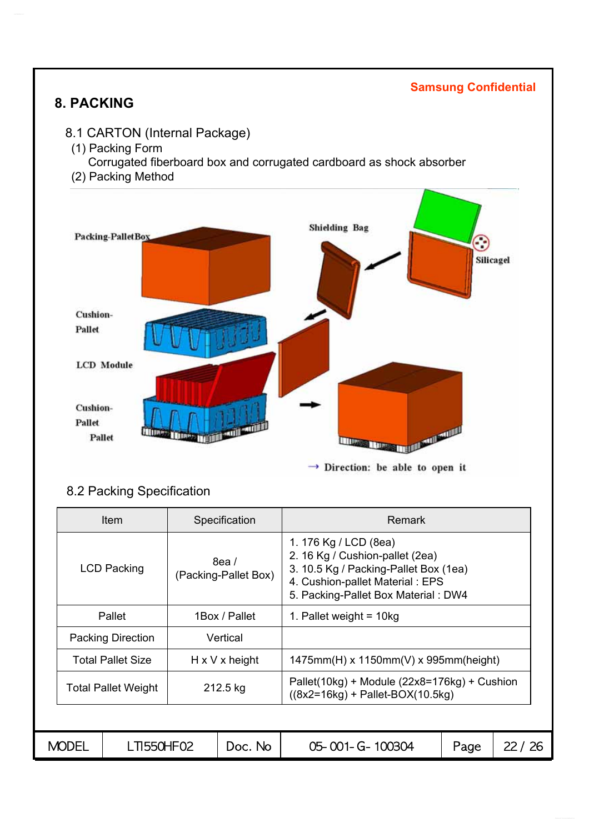# **8. PACKING**

#### **Samsung Confidential**

- 8.1 CARTON (Internal Package)
- (1) Packing Form
	- Corrugated fiberboard box and corrugated cardboard as shock absorber
- (2) Packing Method



### 8.2 Packing Specification

| ltem                                 |                    |  | Specification                | <b>Remark</b>                                                                                                                                                               |      |       |  |  |
|--------------------------------------|--------------------|--|------------------------------|-----------------------------------------------------------------------------------------------------------------------------------------------------------------------------|------|-------|--|--|
|                                      | <b>LCD Packing</b> |  | 8ea/<br>(Packing-Pallet Box) | 1. 176 Kg / LCD (8ea)<br>2. 16 Kg / Cushion-pallet (2ea)<br>3. 10.5 Kg / Packing-Pallet Box (1ea)<br>4. Cushion-pallet Material: EPS<br>5. Packing-Pallet Box Material: DW4 |      |       |  |  |
| 1Box / Pallet<br>Pallet              |                    |  |                              | 1. Pallet weight = $10kg$                                                                                                                                                   |      |       |  |  |
| <b>Packing Direction</b><br>Vertical |                    |  |                              |                                                                                                                                                                             |      |       |  |  |
| <b>Total Pallet Size</b>             |                    |  | $H \times V \times$ height   | $1475$ mm(H) x 1150mm(V) x 995mm(height)                                                                                                                                    |      |       |  |  |
| <b>Total Pallet Weight</b>           |                    |  | 212.5 kg                     | Pallet(10kg) + Module (22x8=176kg) + Cushion<br>$((8x2=16kg) + Pallet-BOX(10.5kg))$                                                                                         |      |       |  |  |
|                                      |                    |  |                              |                                                                                                                                                                             |      |       |  |  |
| <b>MODEL</b>                         | LTI550HF02         |  | Doc. No                      | 05-001-G-100304                                                                                                                                                             | Page | 22/26 |  |  |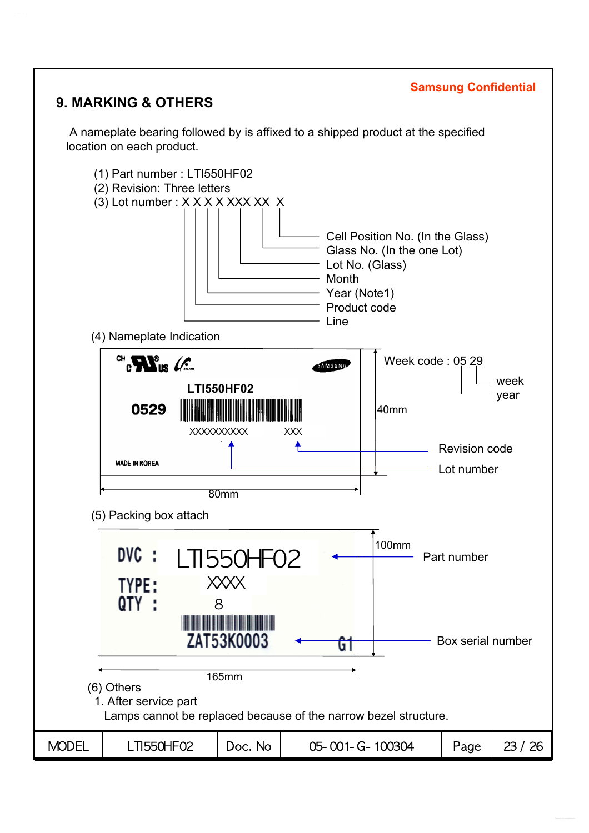# **9. MARKING & OTHERS**

A nameplate bearing followed by is affixed to a shipped product at the specified location on each product.

**Samsung Confidential**

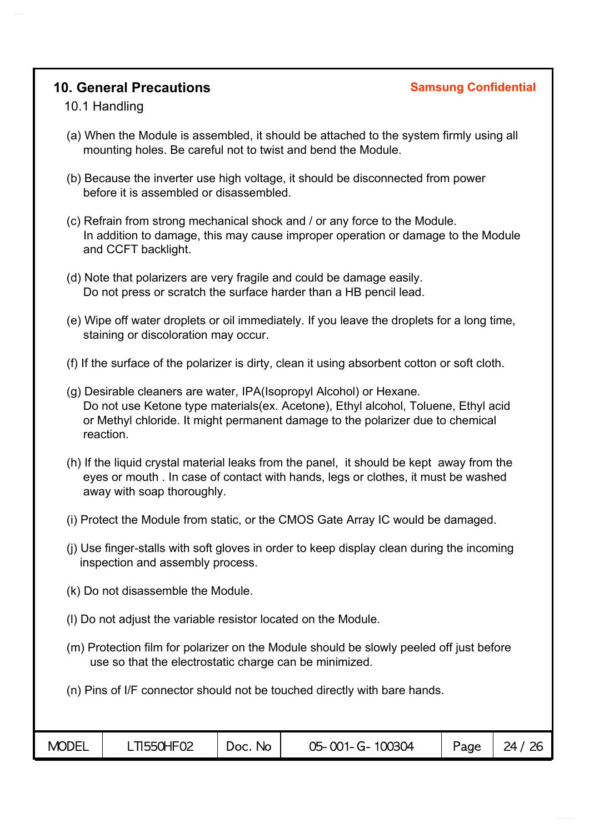### **10. General Precautions Samsung Confidential**

#### 10.1 Handling

- (a) When the Module is assembled, it should be attached to the system firmly using all mounting holes. Be careful not to twist and bend the Module.
- (b) Because the inverter use high voltage, it should be disconnected from power before it is assembled or disassembled.
- (c) Refrain from strong mechanical shock and / or any force to the Module. In addition to damage, this may cause improper operation or damage to the Module and CCFT backlight.
- (d) Note that polarizers are very fragile and could be damage easily. Do not press or scratch the surface harder than a HB pencil lead.
- (e) Wipe off water droplets or oil immediately. If you leave the droplets for a long time, staining or discoloration may occur.
- (f) If the surface of the polarizer is dirty, clean it using absorbent cotton or soft cloth.
- (g) Desirable cleaners are water, IPA(Isopropyl Alcohol) or Hexane. Do not use Ketone type materials(ex. Acetone), Ethyl alcohol, Toluene, Ethyl acid or Methyl chloride. It might permanent damage to the polarizer due to chemical reaction.
- (h) If the liquid crystal material leaks from the panel, it should be kept away from the eyes or mouth . In case of contact with hands, legs or clothes, it must be washed away with soap thoroughly.
- (i) Protect the Module from static, or the CMOS Gate Array IC would be damaged.
- (j) Use finger-stalls with soft gloves in order to keep display clean during the incoming inspection and assembly process.
- (k) Do not disassemble the Module.
- (l) Do not adjust the variable resistor located on the Module.
- (m) Protection film for polarizer on the Module should be slowly peeled off just before use so that the electrostatic charge can be minimized.
- (n) Pins of I/F connector should not be touched directly with bare hands.

| <b>MODEL</b> | T1550HF02 |                        | 05-001-G-100304 |      |  |
|--------------|-----------|------------------------|-----------------|------|--|
|              |           | N <sub>O</sub><br>Doc. |                 | Page |  |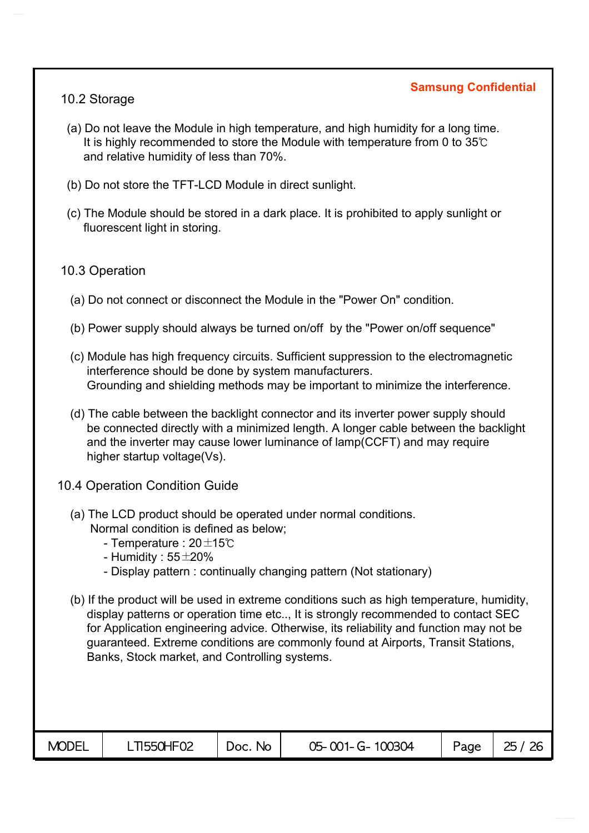#### 10.2 Storage

- (a) Do not leave the Module in high temperature, and high humidity for a long time. It is highly recommended to store the Module with temperature from 0 to 35℃ and relative humidity of less than 70%.
- (b) Do not store the TFT-LCD Module in direct sunlight.
- (c) The Module should be stored in a dark place. It is prohibited to apply sunlight or fluorescent light in storing.

#### 10.3 Operation

- (a) Do not connect or disconnect the Module in the "Power On" condition.
- (b) Power supply should always be turned on/off by the "Power on/off sequence"
- (c) Module has high frequency circuits. Sufficient suppression to the electromagnetic interference should be done by system manufacturers. Grounding and shielding methods may be important to minimize the interference.
- (d) The cable between the backlight connector and its inverter power supply should be connected directly with a minimized length. A longer cable between the backlight and the inverter may cause lower luminance of lamp(CCFT) and may require higher startup voltage(Vs).
- 10.4 Operation Condition Guide
	- (a) The LCD product should be operated under normal conditions. Normal condition is defined as below;
		- Temperature : 20±15℃
		- Humidity :  $55\pm20\%$
		- Display pattern : continually changing pattern (Not stationary)
	- (b) If the product will be used in extreme conditions such as high temperature, humidity, display patterns or operation time etc.., It is strongly recommended to contact SEC for Application engineering advice. Otherwise, its reliability and function may not be guaranteed. Extreme conditions are commonly found at Airports, Transit Stations, Banks, Stock market, and Controlling systems.

| <b>MODEL</b><br><b>LTI550HF02</b><br>Page<br>05-001-G-100304<br>Doc. No |  |  |  |  |  | 25/26 |
|-------------------------------------------------------------------------|--|--|--|--|--|-------|
|-------------------------------------------------------------------------|--|--|--|--|--|-------|